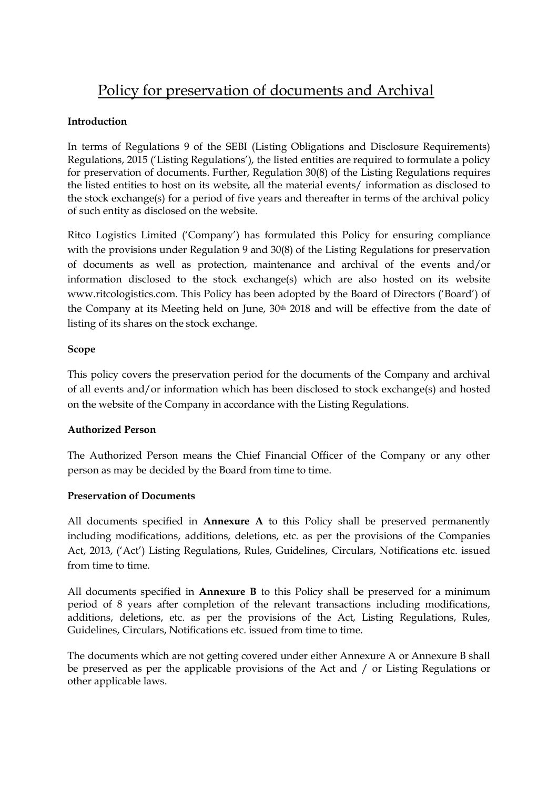# Policy for preservation of documents and Archival

## **Introduction**

In terms of Regulations 9 of the SEBI (Listing Obligations and Disclosure Requirements) Regulations, 2015 ('Listing Regulations'), the listed entities are required to formulate a policy for preservation of documents. Further, Regulation 30(8) of the Listing Regulations requires the listed entities to host on its website, all the material events/ information as disclosed to the stock exchange(s) for a period of five years and thereafter in terms of the archival policy of such entity as disclosed on the website.

Ritco Logistics Limited ('Company') has formulated this Policy for ensuring compliance with the provisions under Regulation 9 and 30(8) of the Listing Regulations for preservation of documents as well as protection, maintenance and archival of the events and/or information disclosed to the stock exchange(s) which are also hosted on its website www.ritcologistics.com. This Policy has been adopted by the Board of Directors ('Board') of the Company at its Meeting held on June, 30th 2018 and will be effective from the date of listing of its shares on the stock exchange.

#### **Scope**

This policy covers the preservation period for the documents of the Company and archival of all events and/or information which has been disclosed to stock exchange(s) and hosted on the website of the Company in accordance with the Listing Regulations.

### **Authorized Person**

The Authorized Person means the Chief Financial Officer of the Company or any other person as may be decided by the Board from time to time.

### **Preservation of Documents**

All documents specified in **Annexure A** to this Policy shall be preserved permanently including modifications, additions, deletions, etc. as per the provisions of the Companies Act, 2013, ('Act') Listing Regulations, Rules, Guidelines, Circulars, Notifications etc. issued from time to time.

All documents specified in **Annexure B** to this Policy shall be preserved for a minimum period of 8 years after completion of the relevant transactions including modifications, additions, deletions, etc. as per the provisions of the Act, Listing Regulations, Rules, Guidelines, Circulars, Notifications etc. issued from time to time.

The documents which are not getting covered under either Annexure A or Annexure B shall be preserved as per the applicable provisions of the Act and / or Listing Regulations or other applicable laws.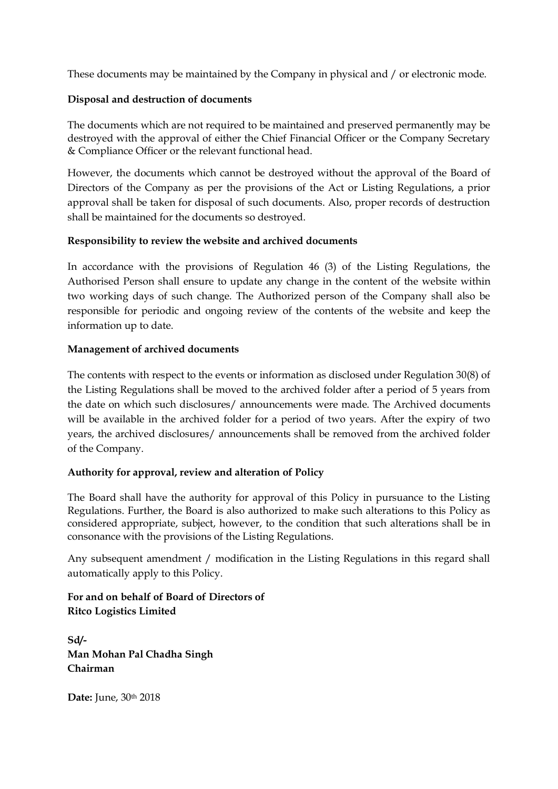These documents may be maintained by the Company in physical and / or electronic mode.

### **Disposal and destruction of documents**

The documents which are not required to be maintained and preserved permanently may be destroyed with the approval of either the Chief Financial Officer or the Company Secretary & Compliance Officer or the relevant functional head.

However, the documents which cannot be destroyed without the approval of the Board of Directors of the Company as per the provisions of the Act or Listing Regulations, a prior approval shall be taken for disposal of such documents. Also, proper records of destruction shall be maintained for the documents so destroyed.

### **Responsibility to review the website and archived documents**

In accordance with the provisions of Regulation 46 (3) of the Listing Regulations, the Authorised Person shall ensure to update any change in the content of the website within two working days of such change. The Authorized person of the Company shall also be responsible for periodic and ongoing review of the contents of the website and keep the information up to date.

#### **Management of archived documents**

The contents with respect to the events or information as disclosed under Regulation 30(8) of the Listing Regulations shall be moved to the archived folder after a period of 5 years from the date on which such disclosures/ announcements were made. The Archived documents will be available in the archived folder for a period of two years. After the expiry of two years, the archived disclosures/ announcements shall be removed from the archived folder of the Company.

### **Authority for approval, review and alteration of Policy**

The Board shall have the authority for approval of this Policy in pursuance to the Listing Regulations. Further, the Board is also authorized to make such alterations to this Policy as considered appropriate, subject, however, to the condition that such alterations shall be in consonance with the provisions of the Listing Regulations.

Any subsequent amendment / modification in the Listing Regulations in this regard shall automatically apply to this Policy.

**For and on behalf of Board of Directors of Ritco Logistics Limited**

**Sd/- Man Mohan Pal Chadha Singh Chairman**

**Date:** June, 30th 2018